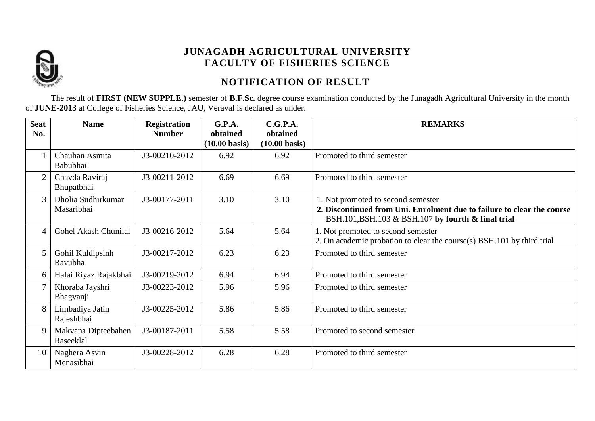

# **NOTIFICATION OF RESULT**

The result of **FIRST (NEW SUPPLE.)** semester of **B.F.Sc.** degree course examination conducted by the Junagadh Agricultural University in the month of **JUNE-2013** at College of Fisheries Science, JAU, Veraval is declared as under.

| <b>Seat</b><br>No. | <b>Name</b>                      | <b>Registration</b><br><b>Number</b> | G.P.A.<br>obtained      | C.G.P.A.<br>obtained    | <b>REMARKS</b>                                                                                                                                                     |
|--------------------|----------------------------------|--------------------------------------|-------------------------|-------------------------|--------------------------------------------------------------------------------------------------------------------------------------------------------------------|
|                    |                                  |                                      | $(10.00 \text{ basis})$ | $(10.00 \text{ basis})$ |                                                                                                                                                                    |
|                    | Chauhan Asmita<br>Babubhai       | J3-00210-2012                        | 6.92                    | 6.92                    | Promoted to third semester                                                                                                                                         |
| $\overline{2}$     | Chavda Raviraj<br>Bhupatbhai     | J3-00211-2012                        | 6.69                    | 6.69                    | Promoted to third semester                                                                                                                                         |
| 3                  | Dholia Sudhirkumar<br>Masaribhai | J3-00177-2011                        | 3.10                    | 3.10                    | 1. Not promoted to second semester<br>2. Discontinued from Uni. Enrolment due to failure to clear the course<br>BSH.101, BSH.103 & BSH.107 by fourth & final trial |
| 4                  | Gohel Akash Chunilal             | J3-00216-2012                        | 5.64                    | 5.64                    | 1. Not promoted to second semester<br>2. On academic probation to clear the course(s) BSH.101 by third trial                                                       |
| 5                  | Gohil Kuldipsinh<br>Ravubha      | J3-00217-2012                        | 6.23                    | 6.23                    | Promoted to third semester                                                                                                                                         |
| 6                  | Halai Riyaz Rajakbhai            | J3-00219-2012                        | 6.94                    | 6.94                    | Promoted to third semester                                                                                                                                         |
| 7                  | Khoraba Jayshri<br>Bhagvanji     | J3-00223-2012                        | 5.96                    | 5.96                    | Promoted to third semester                                                                                                                                         |
| 8                  | Limbadiya Jatin<br>Rajeshbhai    | J3-00225-2012                        | 5.86                    | 5.86                    | Promoted to third semester                                                                                                                                         |
| 9                  | Makvana Dipteebahen<br>Raseeklal | J3-00187-2011                        | 5.58                    | 5.58                    | Promoted to second semester                                                                                                                                        |
| 10                 | Naghera Asvin<br>Menasibhai      | J3-00228-2012                        | 6.28                    | 6.28                    | Promoted to third semester                                                                                                                                         |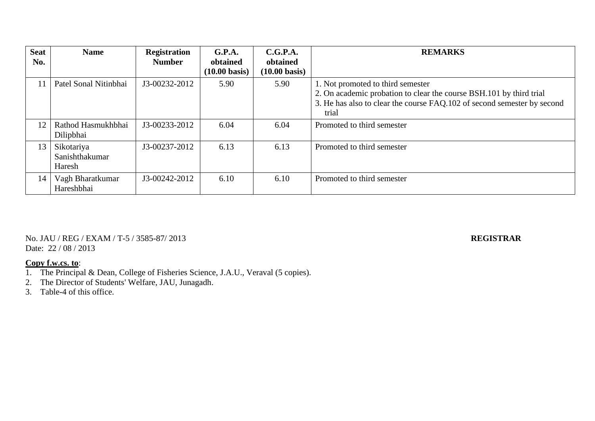| <b>Seat</b><br>No. | <b>Name</b>                            | <b>Registration</b><br><b>Number</b> | G.P.A.<br>obtained      | C.G.P.A.<br>obtained    | <b>REMARKS</b>                                                                                           |
|--------------------|----------------------------------------|--------------------------------------|-------------------------|-------------------------|----------------------------------------------------------------------------------------------------------|
|                    |                                        |                                      | $(10.00 \text{ basis})$ | $(10.00 \text{ basis})$ |                                                                                                          |
| 11                 | Patel Sonal Nitinbhai                  | J3-00232-2012                        | 5.90                    | 5.90                    | 1. Not promoted to third semester<br>2. On academic probation to clear the course BSH.101 by third trial |
|                    |                                        |                                      |                         |                         | 3. He has also to clear the course FAQ.102 of second semester by second<br>trial                         |
| 12                 | Rathod Hasmukhbhai<br>Dilipbhai        | J3-00233-2012                        | 6.04                    | 6.04                    | Promoted to third semester                                                                               |
| 13                 | Sikotariya<br>Sanishthakumar<br>Haresh | J3-00237-2012                        | 6.13                    | 6.13                    | Promoted to third semester                                                                               |
| 14                 | Vagh Bharatkumar<br>Hareshbhai         | J3-00242-2012                        | 6.10                    | 6.10                    | Promoted to third semester                                                                               |

## No. JAU / REG / EXAM / T-5 / 3585-87/ 2013 **REGISTRAR** Date: 22 / 08 / 2013

- 1. The Principal & Dean, College of Fisheries Science, J.A.U., Veraval (5 copies).
- 2. The Director of Students' Welfare, JAU, Junagadh.
- 3. Table-4 of this office.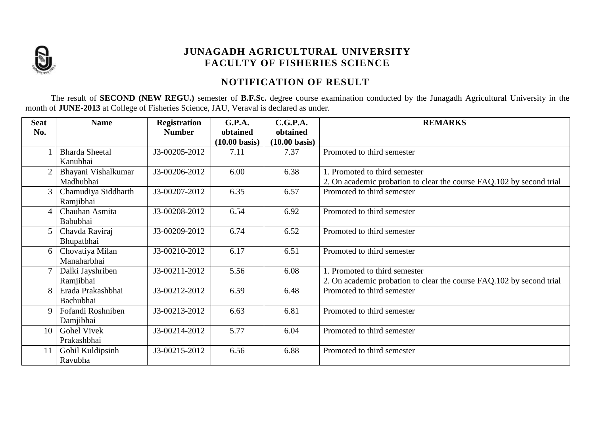

# **NOTIFICATION OF RESULT**

The result of **SECOND (NEW REGU.)** semester of **B.F.Sc.** degree course examination conducted by the Junagadh Agricultural University in the month of **JUNE-2013** at College of Fisheries Science, JAU, Veraval is declared as under.

| <b>Seat</b> | <b>Name</b>           | <b>Registration</b> | G.P.A.                  | C.G.P.A.                | <b>REMARKS</b>                                                       |
|-------------|-----------------------|---------------------|-------------------------|-------------------------|----------------------------------------------------------------------|
| No.         |                       | <b>Number</b>       | obtained                | obtained                |                                                                      |
|             |                       |                     | $(10.00 \text{ basis})$ | $(10.00 \text{ basis})$ |                                                                      |
|             | <b>Bharda Sheetal</b> | J3-00205-2012       | 7.11                    | 7.37                    | Promoted to third semester                                           |
|             | Kanubhai              |                     |                         |                         |                                                                      |
|             | Bhayani Vishalkumar   | J3-00206-2012       | 6.00                    | 6.38                    | 1. Promoted to third semester                                        |
|             | Madhubhai             |                     |                         |                         | 2. On academic probation to clear the course FAQ.102 by second trial |
| 3           | Chamudiya Siddharth   | J3-00207-2012       | 6.35                    | 6.57                    | Promoted to third semester                                           |
|             | Ramjibhai             |                     |                         |                         |                                                                      |
| 4           | Chauhan Asmita        | J3-00208-2012       | 6.54                    | 6.92                    | Promoted to third semester                                           |
|             | Babubhai              |                     |                         |                         |                                                                      |
| 5           | Chavda Raviraj        | J3-00209-2012       | 6.74                    | 6.52                    | Promoted to third semester                                           |
|             | Bhupatbhai            |                     |                         |                         |                                                                      |
| 6           | Chovatiya Milan       | J3-00210-2012       | 6.17                    | 6.51                    | Promoted to third semester                                           |
|             | Manaharbhai           |                     |                         |                         |                                                                      |
|             | Dalki Jayshriben      | J3-00211-2012       | 5.56                    | 6.08                    | 1. Promoted to third semester                                        |
|             | Ramjibhai             |                     |                         |                         | 2. On academic probation to clear the course FAQ.102 by second trial |
| 8           | Erada Prakashbhai     | J3-00212-2012       | 6.59                    | 6.48                    | Promoted to third semester                                           |
|             | Bachubhai             |                     |                         |                         |                                                                      |
| $\mathbf Q$ | Fofandi Roshniben     | J3-00213-2012       | 6.63                    | 6.81                    | Promoted to third semester                                           |
|             | Damjibhai             |                     |                         |                         |                                                                      |
| 10          | <b>Gohel Vivek</b>    | J3-00214-2012       | 5.77                    | 6.04                    | Promoted to third semester                                           |
|             | Prakashbhai           |                     |                         |                         |                                                                      |
| 11          | Gohil Kuldipsinh      | J3-00215-2012       | 6.56                    | 6.88                    | Promoted to third semester                                           |
|             | Ravubha               |                     |                         |                         |                                                                      |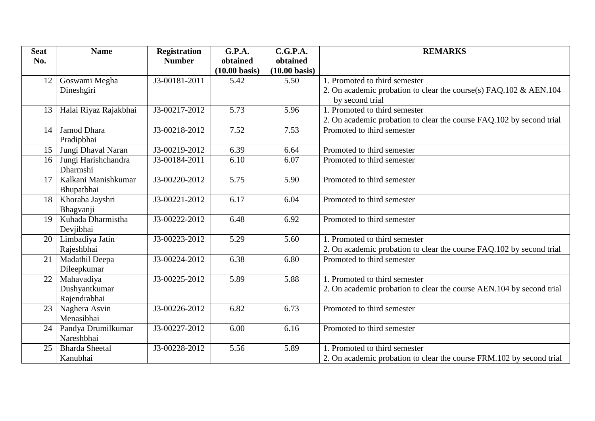| <b>Seat</b>     | <b>Name</b>           | <b>Registration</b> | <b>G.P.A.</b>           | C.G.P.A.                | <b>REMARKS</b>                                                       |
|-----------------|-----------------------|---------------------|-------------------------|-------------------------|----------------------------------------------------------------------|
| No.             |                       | <b>Number</b>       | obtained                | obtained                |                                                                      |
|                 |                       |                     | $(10.00 \text{ basis})$ | $(10.00 \text{ basis})$ |                                                                      |
| 12              | Goswami Megha         | J3-00181-2011       | 5.42                    | 5.50                    | 1. Promoted to third semester                                        |
|                 | Dineshgiri            |                     |                         |                         | 2. On academic probation to clear the course(s) FAQ.102 & AEN.104    |
|                 |                       |                     |                         |                         | by second trial                                                      |
| 13              | Halai Riyaz Rajakbhai | J3-00217-2012       | 5.73                    | 5.96                    | 1. Promoted to third semester                                        |
|                 |                       |                     |                         |                         | 2. On academic probation to clear the course FAQ.102 by second trial |
| 14              | Jamod Dhara           | J3-00218-2012       | 7.52                    | 7.53                    | Promoted to third semester                                           |
|                 | Pradipbhai            |                     |                         |                         |                                                                      |
| 15 <sup>1</sup> | Jungi Dhaval Naran    | J3-00219-2012       | 6.39                    | 6.64                    | Promoted to third semester                                           |
| 16              | Jungi Harishchandra   | J3-00184-2011       | 6.10                    | 6.07                    | Promoted to third semester                                           |
|                 | Dharmshi              |                     |                         |                         |                                                                      |
| 17              | Kalkani Manishkumar   | J3-00220-2012       | 5.75                    | 5.90                    | Promoted to third semester                                           |
|                 | Bhupatbhai            |                     |                         |                         |                                                                      |
| 18              | Khoraba Jayshri       | J3-00221-2012       | 6.17                    | 6.04                    | Promoted to third semester                                           |
|                 | Bhagvanji             |                     |                         |                         |                                                                      |
| 19              | Kuhada Dharmistha     | J3-00222-2012       | 6.48                    | 6.92                    | Promoted to third semester                                           |
|                 | Devjibhai             |                     |                         |                         |                                                                      |
| 20              | Limbadiya Jatin       | J3-00223-2012       | 5.29                    | 5.60                    | 1. Promoted to third semester                                        |
|                 | Rajeshbhai            |                     |                         |                         | 2. On academic probation to clear the course FAQ.102 by second trial |
| 21              | Madathil Deepa        | J3-00224-2012       | 6.38                    | 6.80                    | Promoted to third semester                                           |
|                 | Dileepkumar           |                     |                         |                         |                                                                      |
| 22              | Mahavadiya            | J3-00225-2012       | 5.89                    | 5.88                    | 1. Promoted to third semester                                        |
|                 | Dushyantkumar         |                     |                         |                         | 2. On academic probation to clear the course AEN.104 by second trial |
|                 | Rajendrabhai          |                     |                         |                         |                                                                      |
| 23              | Naghera Asvin         | J3-00226-2012       | 6.82                    | 6.73                    | Promoted to third semester                                           |
|                 | Menasibhai            |                     |                         |                         |                                                                      |
| 24              | Pandya Drumilkumar    | J3-00227-2012       | 6.00                    | 6.16                    | Promoted to third semester                                           |
|                 | Nareshbhai            |                     |                         |                         |                                                                      |
| 25              | <b>Bharda Sheetal</b> | J3-00228-2012       | 5.56                    | 5.89                    | 1. Promoted to third semester                                        |
|                 | Kanubhai              |                     |                         |                         | 2. On academic probation to clear the course FRM.102 by second trial |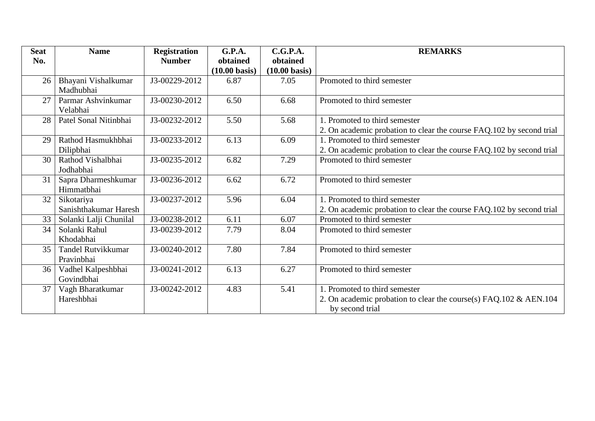| <b>Seat</b><br>No. | <b>Name</b>                             | <b>Registration</b><br><b>Number</b> | <b>G.P.A.</b><br>obtained<br>$(10.00 \text{ basis})$ | C.G.P.A.<br>obtained<br>$(10.00 \text{ basis})$ | <b>REMARKS</b>                                                                                                           |
|--------------------|-----------------------------------------|--------------------------------------|------------------------------------------------------|-------------------------------------------------|--------------------------------------------------------------------------------------------------------------------------|
| 26                 | Bhayani Vishalkumar<br>Madhubhai        | J3-00229-2012                        | 6.87                                                 | 7.05                                            | Promoted to third semester                                                                                               |
| 27                 | Parmar Ashvinkumar<br>Velabhai          | J3-00230-2012                        | 6.50                                                 | 6.68                                            | Promoted to third semester                                                                                               |
| 28                 | Patel Sonal Nitinbhai                   | J3-00232-2012                        | 5.50                                                 | 5.68                                            | 1. Promoted to third semester<br>2. On academic probation to clear the course FAQ.102 by second trial                    |
| 29                 | Rathod Hasmukhbhai<br>Dilipbhai         | J3-00233-2012                        | 6.13                                                 | 6.09                                            | 1. Promoted to third semester<br>2. On academic probation to clear the course FAQ.102 by second trial                    |
| 30                 | Rathod Vishalbhai<br>Jodhabhai          | J3-00235-2012                        | 6.82                                                 | 7.29                                            | Promoted to third semester                                                                                               |
| 31                 | Sapra Dharmeshkumar<br>Himmatbhai       | J3-00236-2012                        | 6.62                                                 | 6.72                                            | Promoted to third semester                                                                                               |
| 32                 | Sikotariya<br>Sanishthakumar Haresh     | J3-00237-2012                        | 5.96                                                 | 6.04                                            | 1. Promoted to third semester<br>2. On academic probation to clear the course FAQ.102 by second trial                    |
| 33                 | Solanki Lalji Chunilal                  | J3-00238-2012                        | 6.11                                                 | 6.07                                            | Promoted to third semester                                                                                               |
| 34                 | Solanki Rahul<br>Khodabhai              | J3-00239-2012                        | 7.79                                                 | 8.04                                            | Promoted to third semester                                                                                               |
| 35                 | <b>Tandel Rutvikkumar</b><br>Pravinbhai | J3-00240-2012                        | 7.80                                                 | 7.84                                            | Promoted to third semester                                                                                               |
| 36                 | Vadhel Kalpeshbhai<br>Govindbhai        | J3-00241-2012                        | 6.13                                                 | 6.27                                            | Promoted to third semester                                                                                               |
| 37                 | Vagh Bharatkumar<br>Hareshbhai          | J3-00242-2012                        | 4.83                                                 | 5.41                                            | 1. Promoted to third semester<br>2. On academic probation to clear the course(s) $FAQ.102 \& AEN.104$<br>by second trial |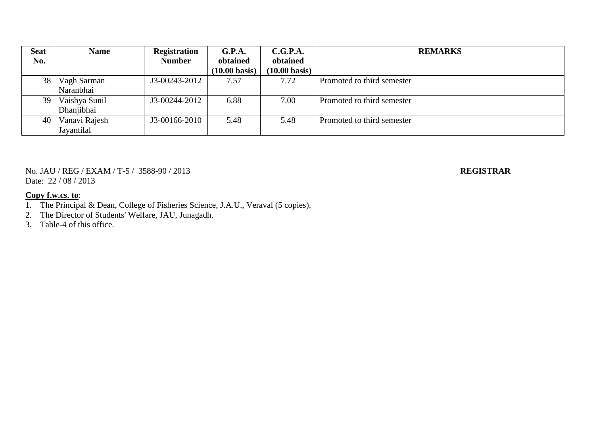| <b>Seat</b> | <b>Name</b>   | <b>Registration</b> | G.P.A.                  | C.G.P.A.                | <b>REMARKS</b>             |
|-------------|---------------|---------------------|-------------------------|-------------------------|----------------------------|
| No.         |               | <b>Number</b>       | obtained                | obtained                |                            |
|             |               |                     | $(10.00 \text{ basis})$ | $(10.00 \text{ basis})$ |                            |
| 38          | Vagh Sarman   | J3-00243-2012       | 7.57                    | 7.72                    | Promoted to third semester |
|             | Naranbhai     |                     |                         |                         |                            |
| 39          | Vaishya Sunil | J3-00244-2012       | 6.88                    | 7.00                    | Promoted to third semester |
|             | Dhanjibhai    |                     |                         |                         |                            |
| 40          | Vanavi Rajesh | J3-00166-2010       | 5.48                    | 5.48                    | Promoted to third semester |
|             | Jayantilal    |                     |                         |                         |                            |

No. JAU / REG / EXAM / T-5 / 3588-90 / 2013 **REGISTRAR** Date: 22 / 08 / 2013

### **Copy f.w.cs. to**:

1. The Principal & Dean, College of Fisheries Science, J.A.U., Veraval (5 copies).

2. The Director of Students' Welfare, JAU, Junagadh.

3. Table-4 of this office.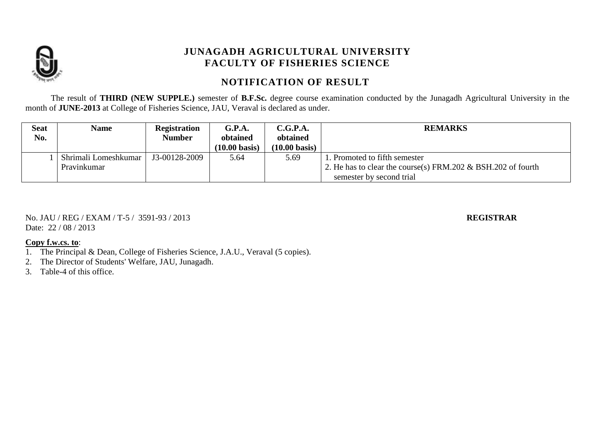

# **NOTIFICATION OF RESULT**

The result of **THIRD (NEW SUPPLE.)** semester of **B.F.Sc.** degree course examination conducted by the Junagadh Agricultural University in the month of **JUNE-2013** at College of Fisheries Science, JAU, Veraval is declared as under.

| <b>Seat</b> | <b>Name</b>          | <b>Registration</b> | G.P.A.                  | C.G.P.A.                | <b>REMARKS</b>                                                  |
|-------------|----------------------|---------------------|-------------------------|-------------------------|-----------------------------------------------------------------|
| No.         |                      | Number              | obtained                | obtained                |                                                                 |
|             |                      |                     | $(10.00 \text{ basis})$ | $(10.00 \text{ basis})$ |                                                                 |
|             | Shrimali Lomeshkumar | J3-00128-2009       | 5.64                    | 5.69                    | . Promoted to fifth semester                                    |
|             | Pravinkumar          |                     |                         |                         | 2. He has to clear the course(s) FRM.202 $\&$ BSH.202 of fourth |
|             |                      |                     |                         |                         | semester by second trial                                        |

No. JAU / REG / EXAM / T-5 / 3591-93 / 2013 **REGISTRAR** Date: 22 / 08 / 2013

- 1. The Principal & Dean, College of Fisheries Science, J.A.U., Veraval (5 copies).
- 2. The Director of Students' Welfare, JAU, Junagadh.
- 3. Table-4 of this office.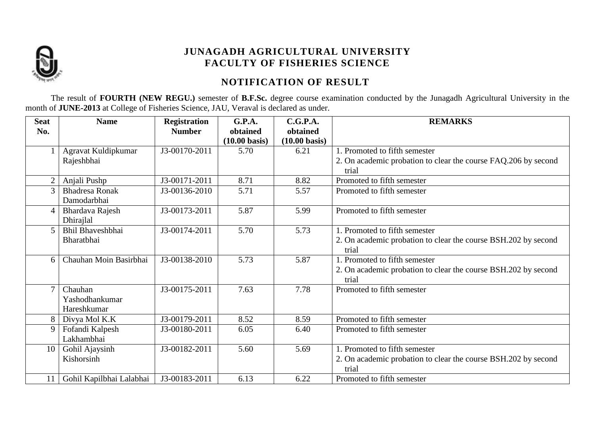

# **NOTIFICATION OF RESULT**

The result of **FOURTH (NEW REGU.)** semester of **B.F.Sc.** degree course examination conducted by the Junagadh Agricultural University in the month of **JUNE-2013** at College of Fisheries Science, JAU, Veraval is declared as under.

| <b>Seat</b>    | <b>Name</b>              | <b>Registration</b> | G.P.A.                  | C.G.P.A.                | <b>REMARKS</b>                                                          |
|----------------|--------------------------|---------------------|-------------------------|-------------------------|-------------------------------------------------------------------------|
| No.            |                          | <b>Number</b>       | obtained                | obtained                |                                                                         |
|                |                          |                     | $(10.00 \text{ basis})$ | $(10.00 \text{ basis})$ |                                                                         |
|                | Agravat Kuldipkumar      | J3-00170-2011       | 5.70                    | 6.21                    | 1. Promoted to fifth semester                                           |
|                | Rajeshbhai               |                     |                         |                         | 2. On academic probation to clear the course FAQ.206 by second<br>trial |
| $\overline{2}$ | Anjali Pushp             | J3-00171-2011       | 8.71                    | 8.82                    | Promoted to fifth semester                                              |
| 3              | <b>Bhadresa Ronak</b>    | J3-00136-2010       | 5.71                    | 5.57                    | Promoted to fifth semester                                              |
|                | Damodarbhai              |                     |                         |                         |                                                                         |
| 4              | Bhardava Rajesh          | J3-00173-2011       | 5.87                    | 5.99                    | Promoted to fifth semester                                              |
|                | Dhirajlal                |                     |                         |                         |                                                                         |
| 5              | <b>Bhil Bhaveshbhai</b>  | J3-00174-2011       | 5.70                    | 5.73                    | 1. Promoted to fifth semester                                           |
|                | Bharatbhai               |                     |                         |                         | 2. On academic probation to clear the course BSH.202 by second          |
|                |                          |                     |                         |                         | trial                                                                   |
| 6              | Chauhan Moin Basirbhai   | J3-00138-2010       | 5.73                    | 5.87                    | 1. Promoted to fifth semester                                           |
|                |                          |                     |                         |                         | 2. On academic probation to clear the course BSH.202 by second          |
|                |                          |                     |                         |                         | trial                                                                   |
| $\mathbf{r}$   | Chauhan                  | J3-00175-2011       | 7.63                    | 7.78                    | Promoted to fifth semester                                              |
|                | Yashodhankumar           |                     |                         |                         |                                                                         |
|                | Hareshkumar              |                     |                         |                         |                                                                         |
|                | Divya Mol K.K            | J3-00179-2011       | 8.52                    | 8.59                    | Promoted to fifth semester                                              |
| 9              | Fofandi Kalpesh          | J3-00180-2011       | 6.05                    | 6.40                    | Promoted to fifth semester                                              |
|                | Lakhambhai               |                     |                         |                         |                                                                         |
| 10             | Gohil Ajaysinh           | J3-00182-2011       | 5.60                    | 5.69                    | 1. Promoted to fifth semester                                           |
|                | Kishorsinh               |                     |                         |                         | 2. On academic probation to clear the course BSH.202 by second          |
|                |                          |                     |                         |                         | trial                                                                   |
|                | Gohil Kapilbhai Lalabhai | J3-00183-2011       | 6.13                    | 6.22                    | Promoted to fifth semester                                              |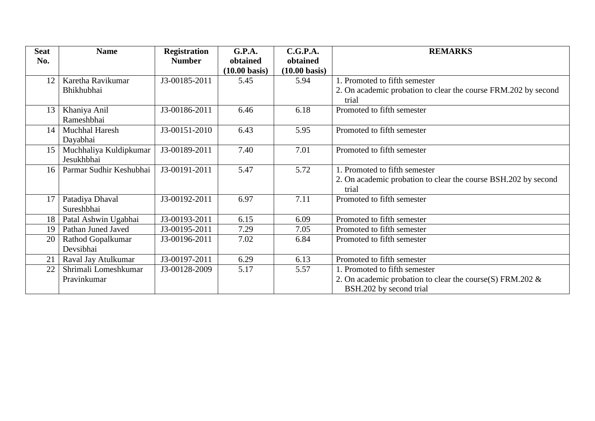| <b>Seat</b> | <b>Name</b>             | <b>Registration</b> | G.P.A.                  | C.G.P.A.                | <b>REMARKS</b>                                                          |
|-------------|-------------------------|---------------------|-------------------------|-------------------------|-------------------------------------------------------------------------|
| No.         |                         | <b>Number</b>       | obtained                | obtained                |                                                                         |
|             |                         |                     | $(10.00 \text{ basis})$ | $(10.00 \text{ basis})$ |                                                                         |
| 12          | Karetha Ravikumar       | J3-00185-2011       | 5.45                    | 5.94                    | 1. Promoted to fifth semester                                           |
|             | Bhikhubhai              |                     |                         |                         | 2. On academic probation to clear the course FRM.202 by second<br>trial |
| 13          | Khaniya Anil            | J3-00186-2011       | 6.46                    | 6.18                    | Promoted to fifth semester                                              |
|             | Rameshbhai              |                     |                         |                         |                                                                         |
| 14          | <b>Muchhal Haresh</b>   | J3-00151-2010       | 6.43                    | 5.95                    | Promoted to fifth semester                                              |
|             | Dayabhai                |                     |                         |                         |                                                                         |
| 15          | Muchhaliya Kuldipkumar  | J3-00189-2011       | 7.40                    | 7.01                    | Promoted to fifth semester                                              |
|             | Jesukhbhai              |                     |                         |                         |                                                                         |
| 16          | Parmar Sudhir Keshubhai | J3-00191-2011       | 5.47                    | 5.72                    | 1. Promoted to fifth semester                                           |
|             |                         |                     |                         |                         | 2. On academic probation to clear the course BSH.202 by second<br>trial |
| 17          | Patadiya Dhaval         | J3-00192-2011       | 6.97                    | 7.11                    | Promoted to fifth semester                                              |
|             | Sureshbhai              |                     |                         |                         |                                                                         |
| 18          | Patal Ashwin Ugabhai    | J3-00193-2011       | 6.15                    | 6.09                    | Promoted to fifth semester                                              |
| 19          | Pathan Juned Javed      | J3-00195-2011       | 7.29                    | 7.05                    | Promoted to fifth semester                                              |
| 20          | Rathod Gopalkumar       | J3-00196-2011       | 7.02                    | 6.84                    | Promoted to fifth semester                                              |
|             | Devsibhai               |                     |                         |                         |                                                                         |
| 21          | Raval Jay Atulkumar     | J3-00197-2011       | 6.29                    | 6.13                    | Promoted to fifth semester                                              |
| 22          | Shrimali Lomeshkumar    | J3-00128-2009       | 5.17                    | 5.57                    | 1. Promoted to fifth semester                                           |
|             | Pravinkumar             |                     |                         |                         | 2. On academic probation to clear the course(S) FRM.202 $\&$            |
|             |                         |                     |                         |                         | BSH.202 by second trial                                                 |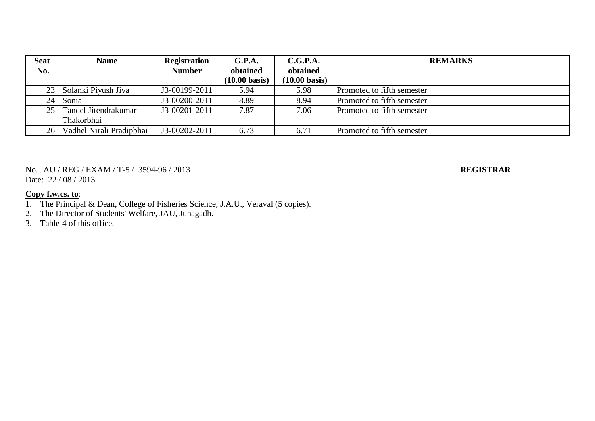| <b>Seat</b> | <b>Name</b>              | <b>Registration</b> | G.P.A.                  | C.G.P.A.                | <b>REMARKS</b>             |
|-------------|--------------------------|---------------------|-------------------------|-------------------------|----------------------------|
| No.         |                          | <b>Number</b>       | obtained                | obtained                |                            |
|             |                          |                     | $(10.00 \text{ basis})$ | $(10.00 \text{ basis})$ |                            |
| 23          | Solanki Piyush Jiva      | J3-00199-2011       | 5.94                    | 5.98                    | Promoted to fifth semester |
| 24          | Sonia                    | J3-00200-2011       | 8.89                    | 8.94                    | Promoted to fifth semester |
| 25          | Tandel Jitendrakumar     | J3-00201-2011       | 7.87                    | 7.06                    | Promoted to fifth semester |
|             | Thakorbhai               |                     |                         |                         |                            |
| 26          | Vadhel Nirali Pradipbhai | J3-00202-2011       | 6.73                    | 6.71                    | Promoted to fifth semester |

No. JAU / REG / EXAM / T-5 / 3594-96 / 2013 **REGISTRAR** Date:  $22 / 08 / 2013$ 

- 1. The Principal & Dean, College of Fisheries Science, J.A.U., Veraval (5 copies).
- 2. The Director of Students' Welfare, JAU, Junagadh.
- 3. Table-4 of this office.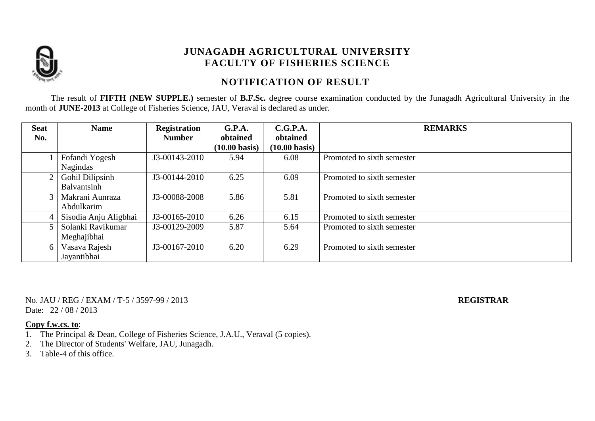

## **NOTIFICATION OF RESULT**

The result of **FIFTH (NEW SUPPLE.)** semester of **B.F.Sc.** degree course examination conducted by the Junagadh Agricultural University in the month of **JUNE-2013** at College of Fisheries Science, JAU, Veraval is declared as under.

| <b>Seat</b>    | <b>Name</b>           | <b>Registration</b> | G.P.A.                  | C.G.P.A.                | <b>REMARKS</b>             |
|----------------|-----------------------|---------------------|-------------------------|-------------------------|----------------------------|
| No.            |                       | <b>Number</b>       | obtained                | obtained                |                            |
|                |                       |                     | $(10.00 \text{ basis})$ | $(10.00 \text{ basis})$ |                            |
|                | Fofandi Yogesh        | J3-00143-2010       | 5.94                    | 6.08                    | Promoted to sixth semester |
|                | Nagindas              |                     |                         |                         |                            |
| 2 <sup>1</sup> | Gohil Dilipsinh       | J3-00144-2010       | 6.25                    | 6.09                    | Promoted to sixth semester |
|                | Balvantsinh           |                     |                         |                         |                            |
| 3 <sup>1</sup> | Makrani Aunraza       | J3-00088-2008       | 5.86                    | 5.81                    | Promoted to sixth semester |
|                | Abdulkarim            |                     |                         |                         |                            |
|                | Sisodia Anju Aligbhai | J3-00165-2010       | 6.26                    | 6.15                    | Promoted to sixth semester |
|                | Solanki Ravikumar     | J3-00129-2009       | 5.87                    | 5.64                    | Promoted to sixth semester |
|                | Meghajibhai           |                     |                         |                         |                            |
| 6 <sup>1</sup> | Vasava Rajesh         | J3-00167-2010       | 6.20                    | 6.29                    | Promoted to sixth semester |
|                | Jayantibhai           |                     |                         |                         |                            |

No. JAU / REG / EXAM / T-5 / 3597-99 / 2013 **REGISTRAR** Date: 22 / 08 / 2013

- 1. The Principal & Dean, College of Fisheries Science, J.A.U., Veraval (5 copies).
- 2. The Director of Students' Welfare, JAU, Junagadh.
- 3. Table-4 of this office.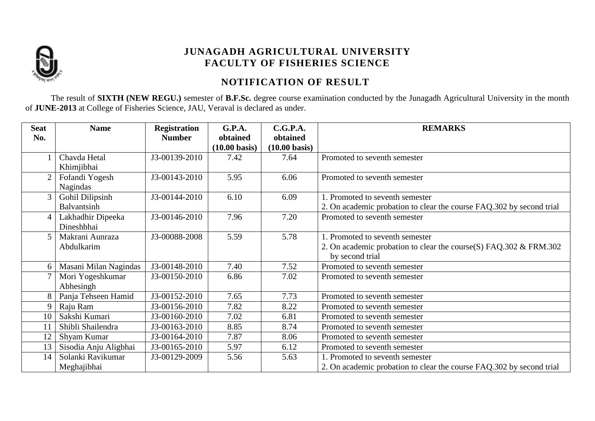

# **NOTIFICATION OF RESULT**

The result of **SIXTH (NEW REGU.)** semester of **B.F.Sc.** degree course examination conducted by the Junagadh Agricultural University in the month of **JUNE-2013** at College of Fisheries Science, JAU, Veraval is declared as under.

| <b>Seat</b>    | <b>Name</b>           | <b>Registration</b> | G.P.A.                  | C.G.P.A.                | <b>REMARKS</b>                                                                       |
|----------------|-----------------------|---------------------|-------------------------|-------------------------|--------------------------------------------------------------------------------------|
| No.            |                       | <b>Number</b>       | obtained                | obtained                |                                                                                      |
|                |                       |                     | $(10.00 \text{ basis})$ | $(10.00 \text{ basis})$ |                                                                                      |
|                | Chavda Hetal          | J3-00139-2010       | 7.42                    | 7.64                    | Promoted to seventh semester                                                         |
|                | Khimjibhai            |                     |                         |                         |                                                                                      |
| $\overline{2}$ | Fofandi Yogesh        | J3-00143-2010       | 5.95                    | 6.06                    | Promoted to seventh semester                                                         |
|                | Nagindas              |                     |                         |                         |                                                                                      |
|                | Gohil Dilipsinh       | J3-00144-2010       | 6.10                    | 6.09                    | 1. Promoted to seventh semester                                                      |
|                | Balvantsinh           |                     |                         |                         | 2. On academic probation to clear the course FAQ.302 by second trial                 |
| 4              | Lakhadhir Dipeeka     | J3-00146-2010       | 7.96                    | 7.20                    | Promoted to seventh semester                                                         |
|                | Dineshbhai            |                     |                         |                         |                                                                                      |
|                | Makrani Aunraza       | J3-00088-2008       | 5.59                    | 5.78                    | 1. Promoted to seventh semester                                                      |
|                | Abdulkarim            |                     |                         |                         | 2. On academic probation to clear the course(S) FAQ.302 & FRM.302<br>by second trial |
|                | Masani Milan Nagindas | J3-00148-2010       | 7.40                    | 7.52                    | Promoted to seventh semester                                                         |
|                | Mori Yogeshkumar      | J3-00150-2010       | 6.86                    | 7.02                    | Promoted to seventh semester                                                         |
|                | Abhesingh             |                     |                         |                         |                                                                                      |
|                | Panja Tehseen Hamid   | J3-00152-2010       | 7.65                    | 7.73                    | Promoted to seventh semester                                                         |
| 9              | Raju Ram              | J3-00156-2010       | 7.82                    | 8.22                    | Promoted to seventh semester                                                         |
| 10             | Sakshi Kumari         | J3-00160-2010       | 7.02                    | 6.81                    | Promoted to seventh semester                                                         |
| 11             | Shibli Shailendra     | J3-00163-2010       | 8.85                    | 8.74                    | Promoted to seventh semester                                                         |
| 12             | Shyam Kumar           | J3-00164-2010       | 7.87                    | 8.06                    | Promoted to seventh semester                                                         |
| 13             | Sisodia Anju Aligbhai | J3-00165-2010       | 5.97                    | 6.12                    | Promoted to seventh semester                                                         |
| 14             | Solanki Ravikumar     | J3-00129-2009       | 5.56                    | 5.63                    | 1. Promoted to seventh semester                                                      |
|                | Meghajibhai           |                     |                         |                         | 2. On academic probation to clear the course FAQ.302 by second trial                 |